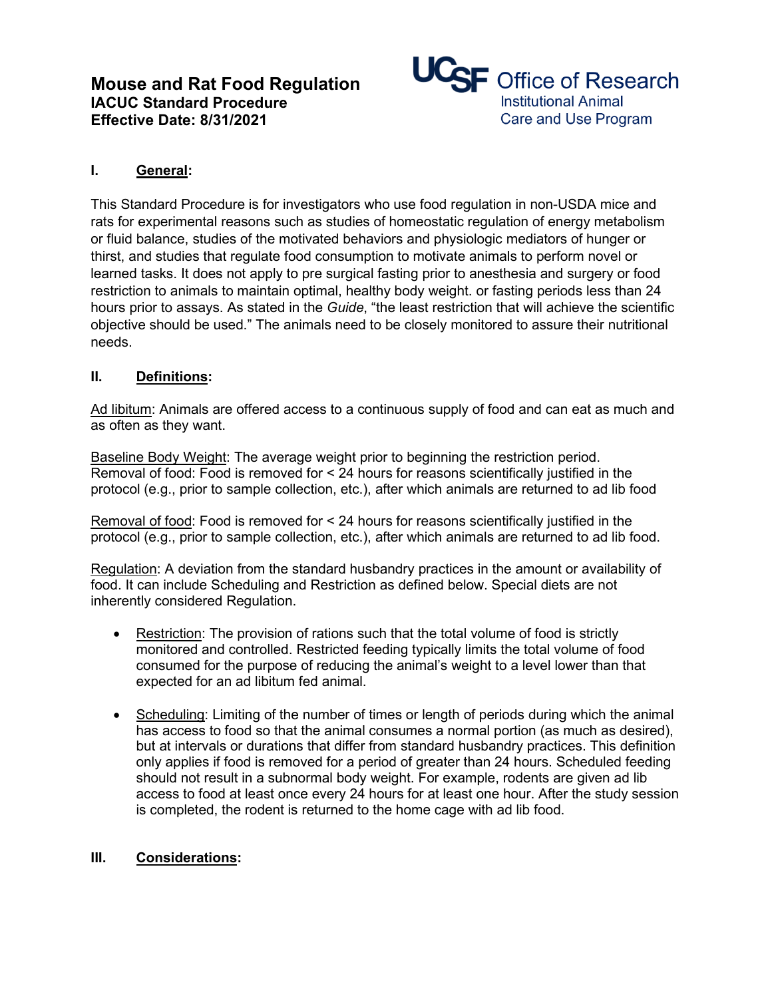# **Mouse and Rat Food Regulation IACUC Standard Procedure Effective Date: 8/31/2021**



### **I. General:**

This Standard Procedure is for investigators who use food regulation in non-USDA mice and rats for experimental reasons such as studies of homeostatic regulation of energy metabolism or fluid balance, studies of the motivated behaviors and physiologic mediators of hunger or thirst, and studies that regulate food consumption to motivate animals to perform novel or learned tasks. It does not apply to pre surgical fasting prior to anesthesia and surgery or food restriction to animals to maintain optimal, healthy body weight. or fasting periods less than 24 hours prior to assays. As stated in the *Guide*, "the least restriction that will achieve the scientific objective should be used." The animals need to be closely monitored to assure their nutritional needs.

#### **II. Definitions:**

Ad libitum: Animals are offered access to a continuous supply of food and can eat as much and as often as they want.

Baseline Body Weight: The average weight prior to beginning the restriction period. Removal of food: Food is removed for < 24 hours for reasons scientifically justified in the protocol (e.g., prior to sample collection, etc.), after which animals are returned to ad lib food

Removal of food: Food is removed for < 24 hours for reasons scientifically justified in the protocol (e.g., prior to sample collection, etc.), after which animals are returned to ad lib food.

Regulation: A deviation from the standard husbandry practices in the amount or availability of food. It can include Scheduling and Restriction as defined below. Special diets are not inherently considered Regulation. 

- Restriction: The provision of rations such that the total volume of food is strictly monitored and controlled. Restricted feeding typically limits the total volume of food consumed for the purpose of reducing the animal's weight to a level lower than that expected for an ad libitum fed animal.
- Scheduling: Limiting of the number of times or length of periods during which the animal has access to food so that the animal consumes a normal portion (as much as desired), but at intervals or durations that differ from standard husbandry practices. This definition only applies if food is removed for a period of greater than 24 hours. Scheduled feeding should not result in a subnormal body weight. For example, rodents are given ad lib access to food at least once every 24 hours for at least one hour. After the study session is completed, the rodent is returned to the home cage with ad lib food.

#### **III. Considerations:**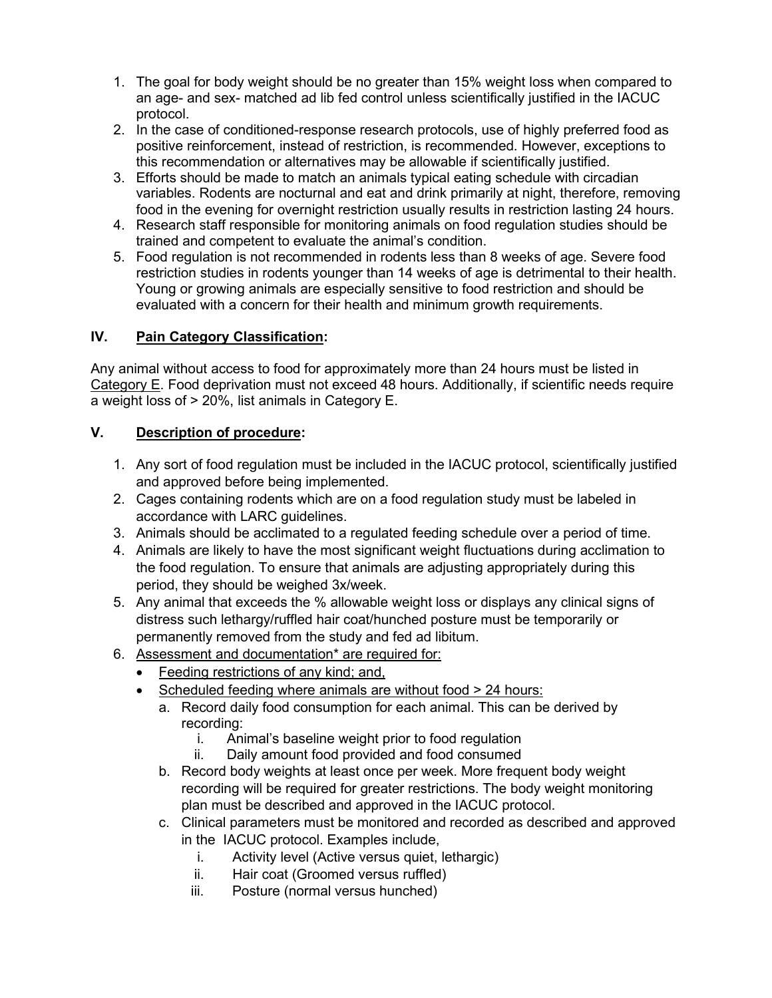- 1. The goal for body weight should be no greater than 15% weight loss when compared to an age- and sex- matched ad lib fed control unless scientifically justified in the IACUC protocol.
- 2. In the case of conditioned-response research protocols, use of highly preferred food as positive reinforcement, instead of restriction, is recommended. However, exceptions to this recommendation or alternatives may be allowable if scientifically justified.
- 3. Efforts should be made to match an animals typical eating schedule with circadian variables. Rodents are nocturnal and eat and drink primarily at night, therefore, removing food in the evening for overnight restriction usually results in restriction lasting 24 hours.
- 4. Research staff responsible for monitoring animals on food regulation studies should be trained and competent to evaluate the animal's condition.
- 5. Food regulation is not recommended in rodents less than 8 weeks of age. Severe food restriction studies in rodents younger than 14 weeks of age is detrimental to their health. Young or growing animals are especially sensitive to food restriction and should be evaluated with a concern for their health and minimum growth requirements.

## **IV. Pain Category Classification:**

Any animal without access to food for approximately more than 24 hours must be listed in Category E. Food deprivation must not exceed 48 hours. Additionally, if scientific needs require a weight loss of > 20%, list animals in Category E.

## **V. Description of procedure:**

- 1. Any sort of food regulation must be included in the IACUC protocol, scientifically justified and approved before being implemented.
- 2. Cages containing rodents which are on a food regulation study must be labeled in accordance with LARC guidelines.
- 3. Animals should be acclimated to a regulated feeding schedule over a period of time.
- 4. Animals are likely to have the most significant weight fluctuations during acclimation to the food regulation. To ensure that animals are adjusting appropriately during this period, they should be weighed 3x/week.
- 5. Any animal that exceeds the % allowable weight loss or displays any clinical signs of distress such lethargy/ruffled hair coat/hunched posture must be temporarily or permanently removed from the study and fed ad libitum.
- 6. Assessment and documentation\* are required for:
	- Feeding restrictions of any kind; and,
	- Scheduled feeding where animals are without food > 24 hours:
		- a. Record daily food consumption for each animal. This can be derived by recording:
			- i. Animal's baseline weight prior to food regulation
			- ii. Daily amount food provided and food consumed
		- b. Record body weights at least once per week. More frequent body weight recording will be required for greater restrictions. The body weight monitoring plan must be described and approved in the IACUC protocol.
		- c. Clinical parameters must be monitored and recorded as described and approved in the IACUC protocol. Examples include,
			- i. Activity level (Active versus quiet, lethargic)
			- ii. Hair coat (Groomed versus ruffled)
			- iii. Posture (normal versus hunched)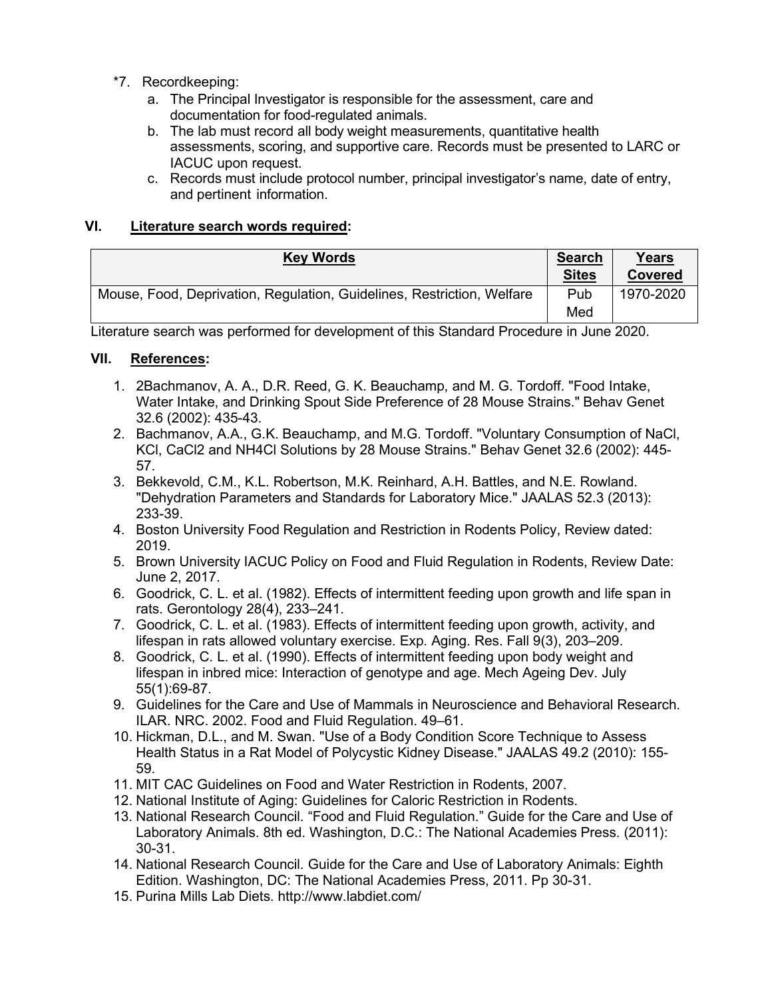- \*7. Recordkeeping:
	- a. The Principal Investigator is responsible for the assessment, care and documentation for food-regulated animals.
	- b. The lab must record all body weight measurements, quantitative health assessments, scoring, and supportive care. Records must be presented to LARC or IACUC upon request.
	- c. Records must include protocol number, principal investigator's name, date of entry, and pertinent information.

#### **VI. Literature search words required:**

|                                                                        | <b>Search</b><br><b>Sites</b> | Years<br>Covered |
|------------------------------------------------------------------------|-------------------------------|------------------|
| Mouse, Food, Deprivation, Regulation, Guidelines, Restriction, Welfare | Pub                           | 1970-2020        |
|                                                                        | Med                           |                  |

Literature search was performed for development of this Standard Procedure in June 2020.

#### **VII. References:**

- 1. 2Bachmanov, A. A., D.R. Reed, G. K. Beauchamp, and M. G. Tordoff. "Food Intake, Water Intake, and Drinking Spout Side Preference of 28 Mouse Strains." Behav Genet 32.6 (2002): 435-43.
- 2. Bachmanov, A.A., G.K. Beauchamp, and M.G. Tordoff. "Voluntary Consumption of NaCl, KCl, CaCl2 and NH4Cl Solutions by 28 Mouse Strains." Behav Genet 32.6 (2002): 445- 57.
- 3. Bekkevold, C.M., K.L. Robertson, M.K. Reinhard, A.H. Battles, and N.E. Rowland. "Dehydration Parameters and Standards for Laboratory Mice." JAALAS 52.3 (2013): 233-39.
- 4. Boston University Food Regulation and Restriction in Rodents Policy, Review dated: 2019.
- 5. Brown University IACUC Policy on Food and Fluid Regulation in Rodents, Review Date: June 2, 2017.
- 6. Goodrick, C. L. et al. (1982). Effects of intermittent feeding upon growth and life span in rats. Gerontology 28(4), 233–241.
- 7. Goodrick, C. L. et al. (1983). Effects of intermittent feeding upon growth, activity, and lifespan in rats allowed voluntary exercise. Exp. Aging. Res. Fall 9(3), 203–209.
- 8. Goodrick, C. L. et al. (1990). Effects of intermittent feeding upon body weight and lifespan in inbred mice: Interaction of genotype and age. Mech Ageing Dev. July 55(1):69-87.
- 9. Guidelines for the Care and Use of Mammals in Neuroscience and Behavioral Research. ILAR. NRC. 2002. Food and Fluid Regulation. 49–61.
- 10. Hickman, D.L., and M. Swan. "Use of a Body Condition Score Technique to Assess Health Status in a Rat Model of Polycystic Kidney Disease." JAALAS 49.2 (2010): 155- 59.
- 11. MIT CAC Guidelines on Food and Water Restriction in Rodents, 2007.
- 12. National Institute of Aging: Guidelines for Caloric Restriction in Rodents.
- 13. National Research Council. "Food and Fluid Regulation." Guide for the Care and Use of Laboratory Animals. 8th ed. Washington, D.C.: The National Academies Press. (2011): 30-31.
- 14. National Research Council. Guide for the Care and Use of Laboratory Animals: Eighth Edition. Washington, DC: The National Academies Press, 2011. Pp 30-31.
- 15. Purina Mills Lab Diets. http://www.labdiet.com/